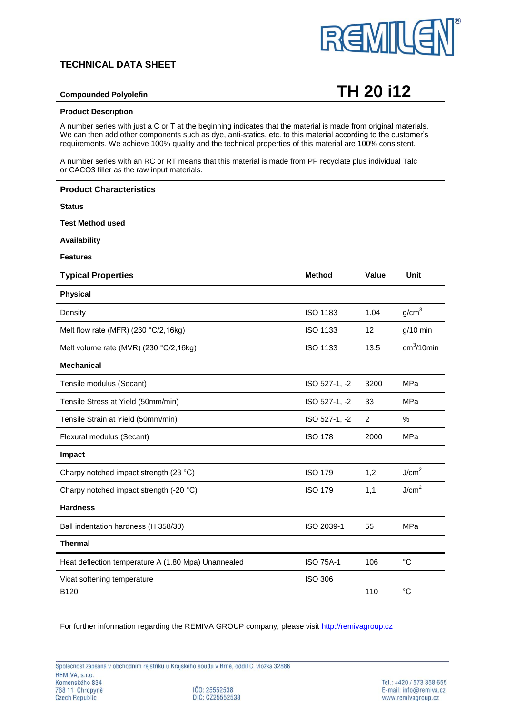## **TECHNICAL DATA SHEET**



# **Compounded Polyolefin TH 20 i12**

### **Product Description**

A number series with just a C or T at the beginning indicates that the material is made from original materials. We can then add other components such as dye, anti-statics, etc. to this material according to the customer's requirements. We achieve 100% quality and the technical properties of this material are 100% consistent.

A number series with an RC or RT means that this material is made from PP recyclate plus individual Talc or CACO3 filler as the raw input materials.

| <b>Product Characteristics</b>                      |                  |       |                   |
|-----------------------------------------------------|------------------|-------|-------------------|
| <b>Status</b>                                       |                  |       |                   |
| <b>Test Method used</b>                             |                  |       |                   |
| <b>Availability</b>                                 |                  |       |                   |
| <b>Features</b>                                     |                  |       |                   |
| <b>Typical Properties</b>                           | <b>Method</b>    | Value | Unit              |
| <b>Physical</b>                                     |                  |       |                   |
| Density                                             | <b>ISO 1183</b>  | 1.04  | g/cm <sup>3</sup> |
| Melt flow rate (MFR) (230 °C/2,16kg)                | <b>ISO 1133</b>  | 12    | $g/10$ min        |
| Melt volume rate (MVR) (230 °C/2,16kg)              | <b>ISO 1133</b>  | 13.5  | $cm3/10$ min      |
| <b>Mechanical</b>                                   |                  |       |                   |
| Tensile modulus (Secant)                            | ISO 527-1, -2    | 3200  | MPa               |
| Tensile Stress at Yield (50mm/min)                  | ISO 527-1, -2    | 33    | <b>MPa</b>        |
| Tensile Strain at Yield (50mm/min)                  | ISO 527-1, -2    | 2     | %                 |
| Flexural modulus (Secant)                           | <b>ISO 178</b>   | 2000  | MPa               |
| Impact                                              |                  |       |                   |
| Charpy notched impact strength (23 °C)              | <b>ISO 179</b>   | 1,2   | J/cm <sup>2</sup> |
| Charpy notched impact strength (-20 °C)             | <b>ISO 179</b>   | 1,1   | J/cm <sup>2</sup> |
| <b>Hardness</b>                                     |                  |       |                   |
| Ball indentation hardness (H 358/30)                | ISO 2039-1       | 55    | MPa               |
| <b>Thermal</b>                                      |                  |       |                   |
| Heat deflection temperature A (1.80 Mpa) Unannealed | <b>ISO 75A-1</b> | 106   | $^{\circ}C$       |
| Vicat softening temperature<br>B <sub>120</sub>     | <b>ISO 306</b>   | 110   | $^{\circ}C$       |

For further information regarding the REMIVA GROUP company, please visit [http://remivagroup.cz](http://remivagroup.cz/)